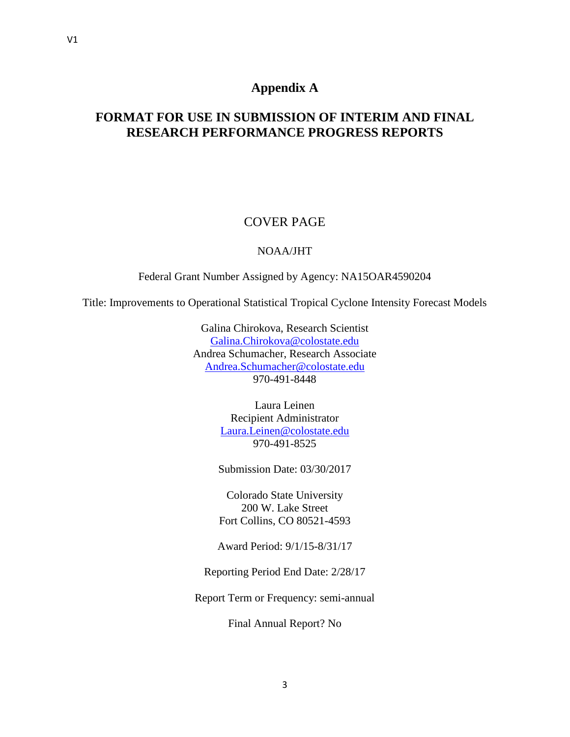# **Appendix A**

# **FORMAT FOR USE IN SUBMISSION OF INTERIM AND FINAL RESEARCH PERFORMANCE PROGRESS REPORTS**

# COVER PAGE

# NOAA/JHT

Federal Grant Number Assigned by Agency: NA15OAR4590204

Title: Improvements to Operational Statistical Tropical Cyclone Intensity Forecast Models

Galina Chirokova, Research Scientist [Galina.Chirokova@colostate.edu](mailto:Galina.Chirokova@colostate.edu) Andrea Schumacher, Research Associate [Andrea.Schumacher@colostate.edu](mailto:Andrea.Schumacher@colostate.edu) 970-491-8448

> Laura Leinen Recipient Administrator [Laura.Leinen@colostate.edu](mailto:Laura.Leinen@colostate.edu) 970-491-8525

Submission Date: 03/30/2017

Colorado State University 200 W. Lake Street Fort Collins, CO 80521-4593

Award Period: 9/1/15-8/31/17

Reporting Period End Date: 2/28/17

Report Term or Frequency: semi-annual

Final Annual Report? No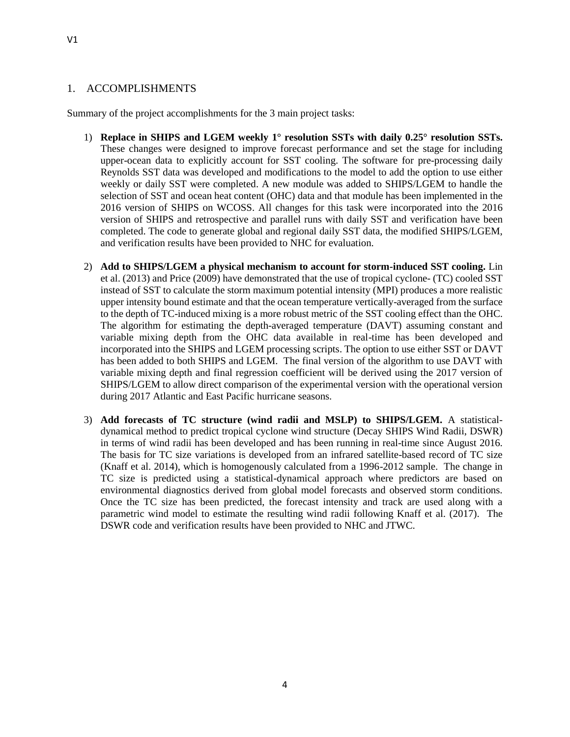## 1. ACCOMPLISHMENTS

Summary of the project accomplishments for the 3 main project tasks:

- 1) **Replace in SHIPS and LGEM weekly 1° resolution SSTs with daily 0.25° resolution SSTs.**  These changes were designed to improve forecast performance and set the stage for including upper-ocean data to explicitly account for SST cooling. The software for pre-processing daily Reynolds SST data was developed and modifications to the model to add the option to use either weekly or daily SST were completed. A new module was added to SHIPS/LGEM to handle the selection of SST and ocean heat content (OHC) data and that module has been implemented in the 2016 version of SHIPS on WCOSS. All changes for this task were incorporated into the 2016 version of SHIPS and retrospective and parallel runs with daily SST and verification have been completed. The code to generate global and regional daily SST data, the modified SHIPS/LGEM, and verification results have been provided to NHC for evaluation.
- 2) **Add to SHIPS/LGEM a physical mechanism to account for storm-induced SST cooling.** Lin et al. (2013) and Price (2009) have demonstrated that the use of tropical cyclone- (TC) cooled SST instead of SST to calculate the storm maximum potential intensity (MPI) produces a more realistic upper intensity bound estimate and that the ocean temperature vertically-averaged from the surface to the depth of TC-induced mixing is a more robust metric of the SST cooling effect than the OHC. The algorithm for estimating the depth-averaged temperature (DAVT) assuming constant and variable mixing depth from the OHC data available in real-time has been developed and incorporated into the SHIPS and LGEM processing scripts. The option to use either SST or DAVT has been added to both SHIPS and LGEM. The final version of the algorithm to use DAVT with variable mixing depth and final regression coefficient will be derived using the 2017 version of SHIPS/LGEM to allow direct comparison of the experimental version with the operational version during 2017 Atlantic and East Pacific hurricane seasons.
- 3) **Add forecasts of TC structure (wind radii and MSLP) to SHIPS/LGEM.** A statisticaldynamical method to predict tropical cyclone wind structure (Decay SHIPS Wind Radii, DSWR) in terms of wind radii has been developed and has been running in real-time since August 2016. The basis for TC size variations is developed from an infrared satellite-based record of TC size (Knaff et al. 2014), which is homogenously calculated from a 1996-2012 sample. The change in TC size is predicted using a statistical-dynamical approach where predictors are based on environmental diagnostics derived from global model forecasts and observed storm conditions. Once the TC size has been predicted, the forecast intensity and track are used along with a parametric wind model to estimate the resulting wind radii following Knaff et al. (2017). The DSWR code and verification results have been provided to NHC and JTWC.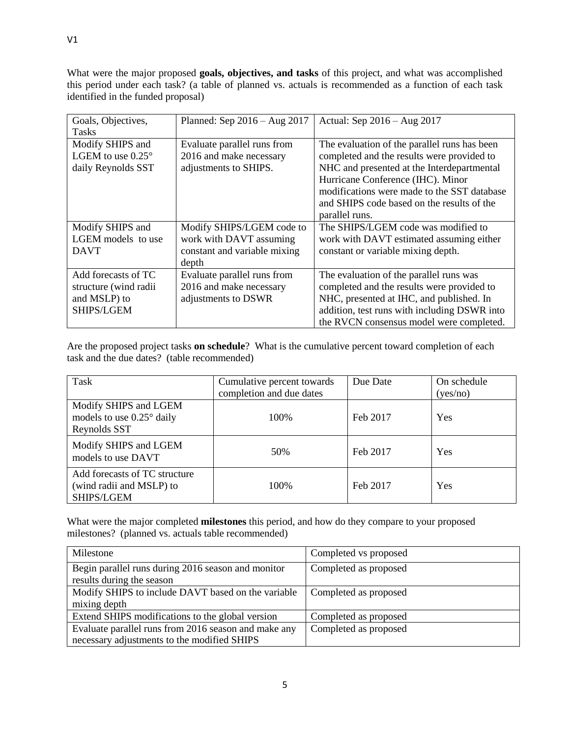What were the major proposed **goals, objectives, and tasks** of this project, and what was accomplished this period under each task? (a table of planned vs. actuals is recommended as a function of each task identified in the funded proposal)

| Goals, Objectives,         | Planned: Sep $2016 - Aug$ $2017$ | Actual: Sep 2016 – Aug 2017                  |
|----------------------------|----------------------------------|----------------------------------------------|
| <b>Tasks</b>               |                                  |                                              |
| Modify SHIPS and           | Evaluate parallel runs from      | The evaluation of the parallel runs has been |
| LGEM to use $0.25^{\circ}$ | 2016 and make necessary          | completed and the results were provided to   |
| daily Reynolds SST         | adjustments to SHIPS.            | NHC and presented at the Interdepartmental   |
|                            |                                  | Hurricane Conference (IHC). Minor            |
|                            |                                  | modifications were made to the SST database  |
|                            |                                  | and SHIPS code based on the results of the   |
|                            |                                  | parallel runs.                               |
| Modify SHIPS and           | Modify SHIPS/LGEM code to        | The SHIPS/LGEM code was modified to          |
| LGEM models to use         | work with DAVT assuming          | work with DAVT estimated assuming either     |
| <b>DAVT</b>                | constant and variable mixing     | constant or variable mixing depth.           |
|                            | depth                            |                                              |
| Add forecasts of TC        | Evaluate parallel runs from      | The evaluation of the parallel runs was      |
| structure (wind radii      | 2016 and make necessary          | completed and the results were provided to   |
| and MSLP) to               | adjustments to DSWR              | NHC, presented at IHC, and published. In     |
| <b>SHIPS/LGEM</b>          |                                  | addition, test runs with including DSWR into |
|                            |                                  | the RVCN consensus model were completed.     |

Are the proposed project tasks **on schedule**? What is the cumulative percent toward completion of each task and the due dates? (table recommended)

| Task                                                                    | Cumulative percent towards<br>completion and due dates | Due Date | On schedule<br>(yes/no) |
|-------------------------------------------------------------------------|--------------------------------------------------------|----------|-------------------------|
| Modify SHIPS and LGEM<br>models to use 0.25° daily<br>Reynolds SST      | 100\%                                                  | Feb 2017 | Yes                     |
| Modify SHIPS and LGEM<br>models to use DAVT                             | 50%                                                    | Feb 2017 | Yes                     |
| Add forecasts of TC structure<br>(wind radii and MSLP) to<br>SHIPS/LGEM | 100\%                                                  | Feb 2017 | Yes                     |

What were the major completed **milestones** this period, and how do they compare to your proposed milestones? (planned vs. actuals table recommended)

| Milestone                                            | Completed vs proposed |
|------------------------------------------------------|-----------------------|
| Begin parallel runs during 2016 season and monitor   | Completed as proposed |
| results during the season                            |                       |
| Modify SHIPS to include DAVT based on the variable   | Completed as proposed |
| mixing depth                                         |                       |
| Extend SHIPS modifications to the global version     | Completed as proposed |
| Evaluate parallel runs from 2016 season and make any | Completed as proposed |
| necessary adjustments to the modified SHIPS          |                       |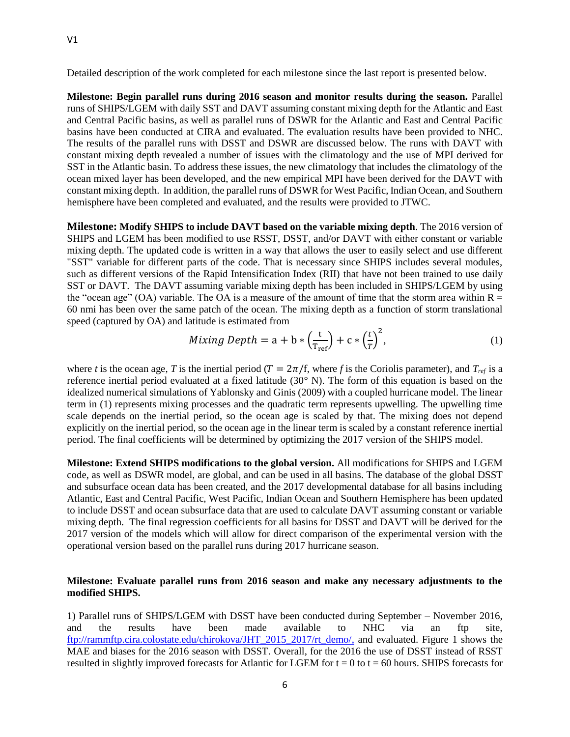Detailed description of the work completed for each milestone since the last report is presented below.

**Milestone: Begin parallel runs during 2016 season and monitor results during the season.** Parallel runs of SHIPS/LGEM with daily SST and DAVT assuming constant mixing depth for the Atlantic and East and Central Pacific basins, as well as parallel runs of DSWR for the Atlantic and East and Central Pacific basins have been conducted at CIRA and evaluated. The evaluation results have been provided to NHC. The results of the parallel runs with DSST and DSWR are discussed below. The runs with DAVT with constant mixing depth revealed a number of issues with the climatology and the use of MPI derived for SST in the Atlantic basin. To address these issues, the new climatology that includes the climatology of the ocean mixed layer has been developed, and the new empirical MPI have been derived for the DAVT with constant mixing depth. In addition, the parallel runs of DSWR for West Pacific, Indian Ocean, and Southern hemisphere have been completed and evaluated, and the results were provided to JTWC.

**Milestone: Modify SHIPS to include DAVT based on the variable mixing depth**. The 2016 version of SHIPS and LGEM has been modified to use RSST, DSST, and/or DAVT with either constant or variable mixing depth. The updated code is written in a way that allows the user to easily select and use different "SST" variable for different parts of the code. That is necessary since SHIPS includes several modules, such as different versions of the Rapid Intensification Index (RII) that have not been trained to use daily SST or DAVT. The DAVT assuming variable mixing depth has been included in SHIPS/LGEM by using the "ocean age" (OA) variable. The OA is a measure of the amount of time that the storm area within  $R =$ 60 nmi has been over the same patch of the ocean. The mixing depth as a function of storm translational speed (captured by OA) and latitude is estimated from

$$
Mixing \tDepth = a + b * \left(\frac{t}{T_{ref}}\right) + c * \left(\frac{t}{T}\right)^2,\t(1)
$$

where *t* is the ocean age, *T* is the inertial period ( $T = 2\pi/f$ , where *f* is the Coriolis parameter), and  $T_{ref}$  is a reference inertial period evaluated at a fixed latitude (30° N). The form of this equation is based on the idealized numerical simulations of Yablonsky and Ginis (2009) with a coupled hurricane model. The linear term in (1) represents mixing processes and the quadratic term represents upwelling. The upwelling time scale depends on the inertial period, so the ocean age is scaled by that. The mixing does not depend explicitly on the inertial period, so the ocean age in the linear term is scaled by a constant reference inertial period. The final coefficients will be determined by optimizing the 2017 version of the SHIPS model.

**Milestone: Extend SHIPS modifications to the global version.** All modifications for SHIPS and LGEM code, as well as DSWR model, are global, and can be used in all basins. The database of the global DSST and subsurface ocean data has been created, and the 2017 developmental database for all basins including Atlantic, East and Central Pacific, West Pacific, Indian Ocean and Southern Hemisphere has been updated to include DSST and ocean subsurface data that are used to calculate DAVT assuming constant or variable mixing depth. The final regression coefficients for all basins for DSST and DAVT will be derived for the 2017 version of the models which will allow for direct comparison of the experimental version with the operational version based on the parallel runs during 2017 hurricane season.

### **Milestone: Evaluate parallel runs from 2016 season and make any necessary adjustments to the modified SHIPS.**

1) Parallel runs of SHIPS/LGEM with DSST have been conducted during September – November 2016, and the results have been made available to NHC via an ftp site, [ftp://rammftp.cira.colostate.edu/chirokova/JHT\\_2015\\_2017/rt\\_demo/,](ftp://rammftp.cira.colostate.edu/chirokova/JHT_2015_2017/rt_demo/) and evaluated. Figure 1 shows the MAE and biases for the 2016 season with DSST. Overall, for the 2016 the use of DSST instead of RSST resulted in slightly improved forecasts for Atlantic for LGEM for  $t = 0$  to  $t = 60$  hours. SHIPS forecasts for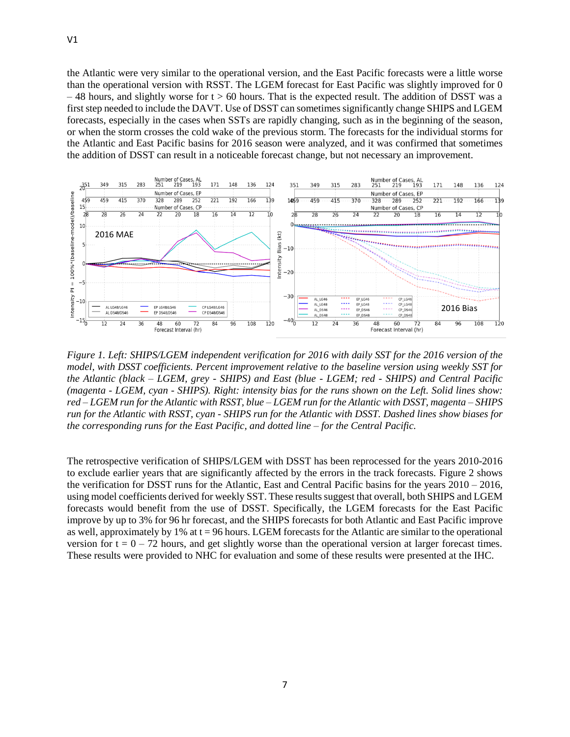the Atlantic were very similar to the operational version, and the East Pacific forecasts were a little worse than the operational version with RSST. The LGEM forecast for East Pacific was slightly improved for 0  $-48$  hours, and slightly worse for  $t > 60$  hours. That is the expected result. The addition of DSST was a first step needed to include the DAVT. Use of DSST can sometimes significantly change SHIPS and LGEM forecasts, especially in the cases when SSTs are rapidly changing, such as in the beginning of the season, or when the storm crosses the cold wake of the previous storm. The forecasts for the individual storms for the Atlantic and East Pacific basins for 2016 season were analyzed, and it was confirmed that sometimes the addition of DSST can result in a noticeable forecast change, but not necessary an improvement.



*Figure 1. Left: SHIPS/LGEM independent verification for 2016 with daily SST for the 2016 version of the model, with DSST coefficients. Percent improvement relative to the baseline version using weekly SST for the Atlantic (black – LGEM, grey - SHIPS) and East (blue - LGEM; red - SHIPS) and Central Pacific (magenta - LGEM, cyan - SHIPS). Right: intensity bias for the runs shown on the Left. Solid lines show: red – LGEM run for the Atlantic with RSST, blue – LGEM run for the Atlantic with DSST, magenta – SHIPS run for the Atlantic with RSST, cyan - SHIPS run for the Atlantic with DSST. Dashed lines show biases for the corresponding runs for the East Pacific, and dotted line – for the Central Pacific.* 

The retrospective verification of SHIPS/LGEM with DSST has been reprocessed for the years 2010-2016 to exclude earlier years that are significantly affected by the errors in the track forecasts. Figure 2 shows the verification for DSST runs for the Atlantic, East and Central Pacific basins for the years 2010 – 2016, using model coefficients derived for weekly SST. These results suggest that overall, both SHIPS and LGEM forecasts would benefit from the use of DSST. Specifically, the LGEM forecasts for the East Pacific improve by up to 3% for 96 hr forecast, and the SHIPS forecasts for both Atlantic and East Pacific improve as well, approximately by 1% at  $t = 96$  hours. LGEM forecasts for the Atlantic are similar to the operational version for  $t = 0 - 72$  hours, and get slightly worse than the operational version at larger forecast times. These results were provided to NHC for evaluation and some of these results were presented at the IHC.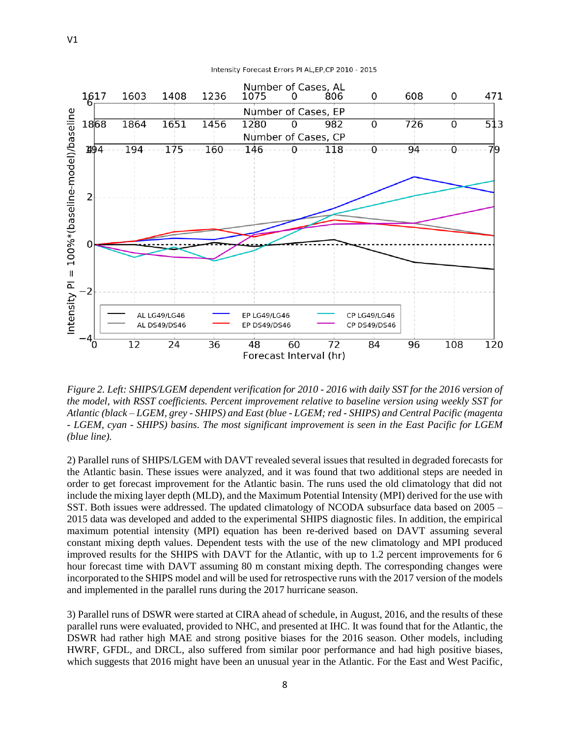

Intensity Forecast Errors PI AL, EP, CP 2010 - 2015

*Figure 2. Left: SHIPS/LGEM dependent verification for 2010 - 2016 with daily SST for the 2016 version of the model, with RSST coefficients. Percent improvement relative to baseline version using weekly SST for Atlantic (black – LGEM, grey - SHIPS) and East (blue - LGEM; red - SHIPS) and Central Pacific (magenta - LGEM, cyan - SHIPS) basins. The most significant improvement is seen in the East Pacific for LGEM (blue line).*

2) Parallel runs of SHIPS/LGEM with DAVT revealed several issues that resulted in degraded forecasts for the Atlantic basin. These issues were analyzed, and it was found that two additional steps are needed in order to get forecast improvement for the Atlantic basin. The runs used the old climatology that did not include the mixing layer depth (MLD), and the Maximum Potential Intensity (MPI) derived for the use with SST. Both issues were addressed. The updated climatology of NCODA subsurface data based on 2005 – 2015 data was developed and added to the experimental SHIPS diagnostic files. In addition, the empirical maximum potential intensity (MPI) equation has been re-derived based on DAVT assuming several constant mixing depth values. Dependent tests with the use of the new climatology and MPI produced improved results for the SHIPS with DAVT for the Atlantic, with up to 1.2 percent improvements for 6 hour forecast time with DAVT assuming 80 m constant mixing depth. The corresponding changes were incorporated to the SHIPS model and will be used for retrospective runs with the 2017 version of the models and implemented in the parallel runs during the 2017 hurricane season.

3) Parallel runs of DSWR were started at CIRA ahead of schedule, in August, 2016, and the results of these parallel runs were evaluated, provided to NHC, and presented at IHC. It was found that for the Atlantic, the DSWR had rather high MAE and strong positive biases for the 2016 season. Other models, including HWRF, GFDL, and DRCL, also suffered from similar poor performance and had high positive biases, which suggests that 2016 might have been an unusual year in the Atlantic. For the East and West Pacific,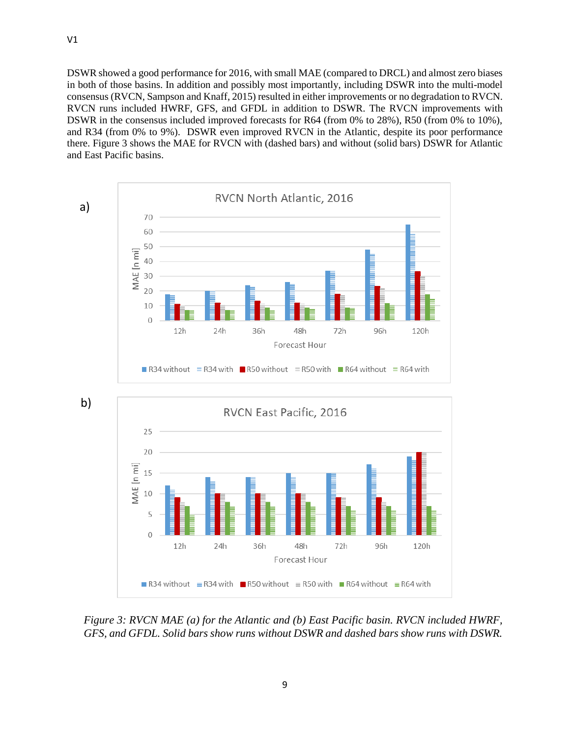DSWR showed a good performance for 2016, with small MAE (compared to DRCL) and almost zero biases in both of those basins. In addition and possibly most importantly, including DSWR into the multi-model consensus (RVCN, Sampson and Knaff, 2015) resulted in either improvements or no degradation to RVCN. RVCN runs included HWRF, GFS, and GFDL in addition to DSWR. The RVCN improvements with DSWR in the consensus included improved forecasts for R64 (from 0% to 28%), R50 (from 0% to 10%), and R34 (from 0% to 9%). DSWR even improved RVCN in the Atlantic, despite its poor performance there. Figure 3 shows the MAE for RVCN with (dashed bars) and without (solid bars) DSWR for Atlantic and East Pacific basins.







*Figure 3: RVCN MAE (a) for the Atlantic and (b) East Pacific basin. RVCN included HWRF, GFS, and GFDL. Solid bars show runs without DSWR and dashed bars show runs with DSWR.*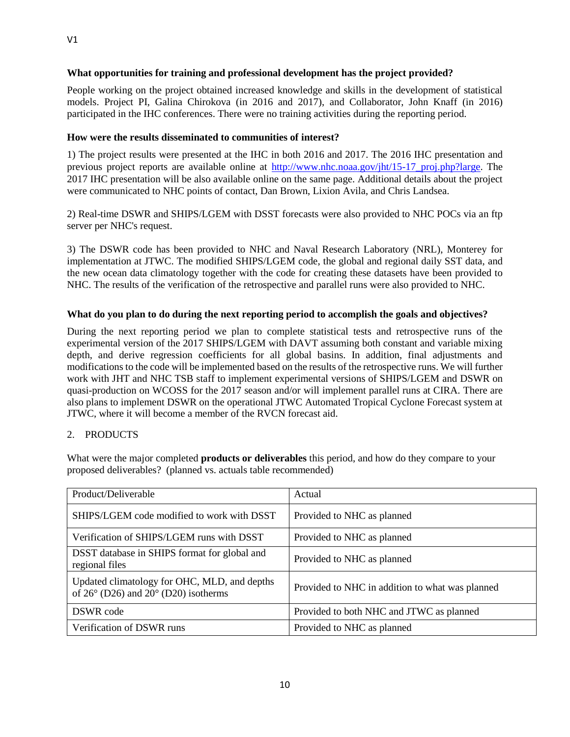## **What opportunities for training and professional development has the project provided?**

People working on the project obtained increased knowledge and skills in the development of statistical models. Project PI, Galina Chirokova (in 2016 and 2017), and Collaborator, John Knaff (in 2016) participated in the IHC conferences. There were no training activities during the reporting period.

### **How were the results disseminated to communities of interest?**

1) The project results were presented at the IHC in both 2016 and 2017. The 2016 IHC presentation and previous project reports are available online at [http://www.nhc.noaa.gov/jht/15-17\\_proj.php?large](http://www.nhc.noaa.gov/jht/15-17_proj.php?large). The 2017 IHC presentation will be also available online on the same page. Additional details about the project were communicated to NHC points of contact, Dan Brown, Lixion Avila, and Chris Landsea.

2) Real-time DSWR and SHIPS/LGEM with DSST forecasts were also provided to NHC POCs via an ftp server per NHC's request.

3) The DSWR code has been provided to NHC and Naval Research Laboratory (NRL), Monterey for implementation at JTWC. The modified SHIPS/LGEM code, the global and regional daily SST data, and the new ocean data climatology together with the code for creating these datasets have been provided to NHC. The results of the verification of the retrospective and parallel runs were also provided to NHC.

#### **What do you plan to do during the next reporting period to accomplish the goals and objectives?**

During the next reporting period we plan to complete statistical tests and retrospective runs of the experimental version of the 2017 SHIPS/LGEM with DAVT assuming both constant and variable mixing depth, and derive regression coefficients for all global basins. In addition, final adjustments and modifications to the code will be implemented based on the results of the retrospective runs. We will further work with JHT and NHC TSB staff to implement experimental versions of SHIPS/LGEM and DSWR on quasi-production on WCOSS for the 2017 season and/or will implement parallel runs at CIRA. There are also plans to implement DSWR on the operational JTWC Automated Tropical Cyclone Forecast system at JTWC, where it will become a member of the RVCN forecast aid.

### 2. PRODUCTS

What were the major completed **products or deliverables** this period, and how do they compare to your proposed deliverables? (planned vs. actuals table recommended)

| Product/Deliverable                                                                                    | Actual                                          |
|--------------------------------------------------------------------------------------------------------|-------------------------------------------------|
| SHIPS/LGEM code modified to work with DSST                                                             | Provided to NHC as planned                      |
| Verification of SHIPS/LGEM runs with DSST                                                              | Provided to NHC as planned                      |
| DSST database in SHIPS format for global and<br>regional files                                         | Provided to NHC as planned                      |
| Updated climatology for OHC, MLD, and depths<br>of $26^{\circ}$ (D26) and $20^{\circ}$ (D20) isotherms | Provided to NHC in addition to what was planned |
| DSWR code                                                                                              | Provided to both NHC and JTWC as planned        |
| Verification of DSWR runs                                                                              | Provided to NHC as planned                      |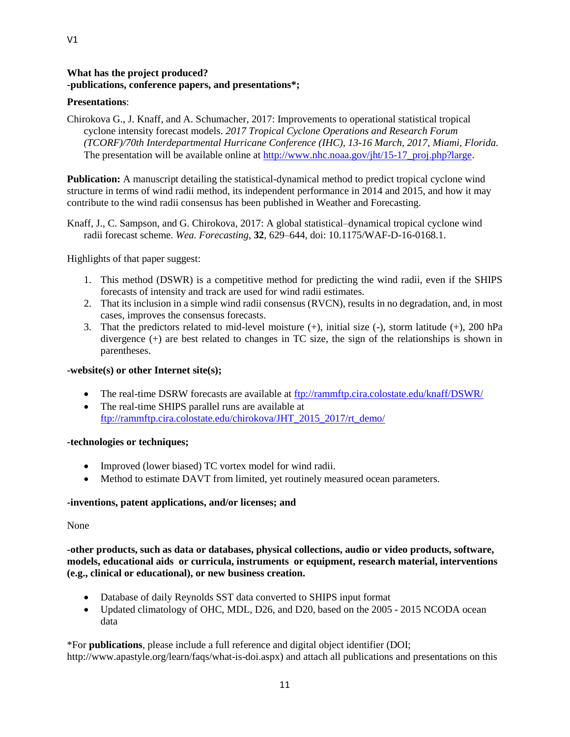## **What has the project produced? -publications, conference papers, and presentations\*;**

# **Presentations**:

Chirokova G., J. Knaff, and A. Schumacher, 2017: Improvements to operational statistical tropical cyclone intensity forecast models. *2017 Tropical Cyclone Operations and Research Forum (TCORF)/70th Interdepartmental Hurricane Conference (IHC), 13-16 March, 2017, Miami, Florida.* The presentation will be available online at http://www.nhc.noaa.gov/iht/15-17\_proj.php?large.

**Publication:** A manuscript detailing the statistical-dynamical method to predict tropical cyclone wind structure in terms of wind radii method, its independent performance in 2014 and 2015, and how it may contribute to the wind radii consensus has been published in Weather and Forecasting.

Knaff, J., C. Sampson, and G. Chirokova, 2017: A global statistical–dynamical tropical cyclone wind radii forecast scheme. *Wea. Forecasting*, **32**, 629–644, doi: 10.1175/WAF-D-16-0168.1.

Highlights of that paper suggest:

- 1. This method (DSWR) is a competitive method for predicting the wind radii, even if the SHIPS forecasts of intensity and track are used for wind radii estimates.
- 2. That its inclusion in a simple wind radii consensus (RVCN), results in no degradation, and, in most cases, improves the consensus forecasts.
- 3. That the predictors related to mid-level moisture (+), initial size (-), storm latitude (+), 200 hPa divergence (+) are best related to changes in TC size, the sign of the relationships is shown in parentheses.

### **-website(s) or other Internet site(s);**

- The real-time DSRW forecasts are available at<ftp://rammftp.cira.colostate.edu/knaff/DSWR/>
- The real-time SHIPS parallel runs are available at [ftp://rammftp.cira.colostate.edu/chirokova/JHT\\_2015\\_2017/rt\\_demo/](ftp://rammftp.cira.colostate.edu/chirokova/JHT_2015_2017/rt_demo/)

### **-technologies or techniques;**

- Improved (lower biased) TC vortex model for wind radii.
- Method to estimate DAVT from limited, yet routinely measured ocean parameters.

### **-inventions, patent applications, and/or licenses; and**

### None

**-other products, such as data or databases, physical collections, audio or video products, software, models, educational aids or curricula, instruments or equipment, research material, interventions (e.g., clinical or educational), or new business creation.**

- Database of daily Reynolds SST data converted to SHIPS input format
- Updated climatology of OHC, MDL, D26, and D20, based on the 2005 2015 NCODA ocean data

\*For **publications**, please include a full reference and digital object identifier (DOI; http://www.apastyle.org/learn/faqs/what-is-doi.aspx) and attach all publications and presentations on this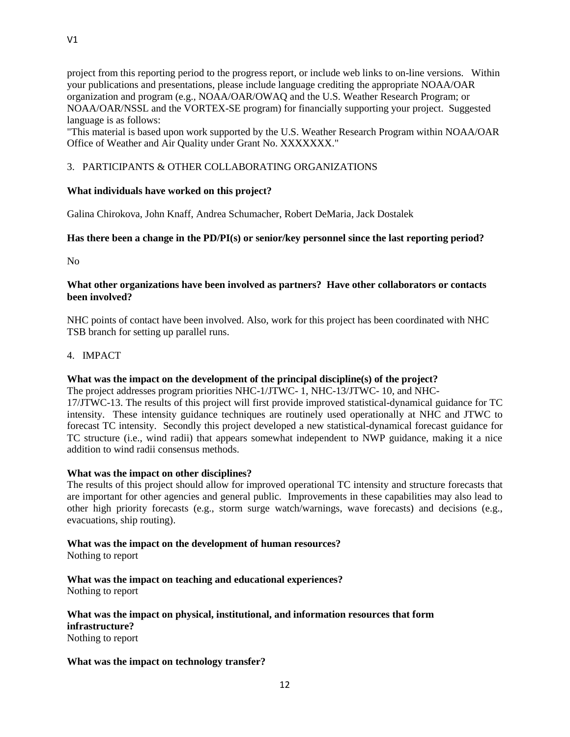project from this reporting period to the progress report, or include web links to on-line versions. Within your publications and presentations, please include language crediting the appropriate NOAA/OAR organization and program (e.g., NOAA/OAR/OWAQ and the U.S. Weather Research Program; or NOAA/OAR/NSSL and the VORTEX-SE program) for financially supporting your project. Suggested language is as follows:

"This material is based upon work supported by the U.S. Weather Research Program within NOAA/OAR Office of Weather and Air Quality under Grant No. XXXXXXX."

## 3. PARTICIPANTS & OTHER COLLABORATING ORGANIZATIONS

### **What individuals have worked on this project?**

Galina Chirokova, John Knaff, Andrea Schumacher, Robert DeMaria, Jack Dostalek

## **Has there been a change in the PD/PI(s) or senior/key personnel since the last reporting period?**

No

## **What other organizations have been involved as partners? Have other collaborators or contacts been involved?**

NHC points of contact have been involved. Also, work for this project has been coordinated with NHC TSB branch for setting up parallel runs.

### 4. IMPACT

### **What was the impact on the development of the principal discipline(s) of the project?**

The project addresses program priorities NHC-1/JTWC- 1, NHC-13/JTWC- 10, and NHC-17/JTWC-13. The results of this project will first provide improved statistical-dynamical guidance for TC intensity. These intensity guidance techniques are routinely used operationally at NHC and JTWC to forecast TC intensity. Secondly this project developed a new statistical-dynamical forecast guidance for TC structure (i.e., wind radii) that appears somewhat independent to NWP guidance, making it a nice addition to wind radii consensus methods.

### **What was the impact on other disciplines?**

The results of this project should allow for improved operational TC intensity and structure forecasts that are important for other agencies and general public. Improvements in these capabilities may also lead to other high priority forecasts (e.g., storm surge watch/warnings, wave forecasts) and decisions (e.g., evacuations, ship routing).

# **What was the impact on the development of human resources?**

Nothing to report

#### **What was the impact on teaching and educational experiences?** Nothing to report

# **What was the impact on physical, institutional, and information resources that form infrastructure?**

Nothing to report

### **What was the impact on technology transfer?**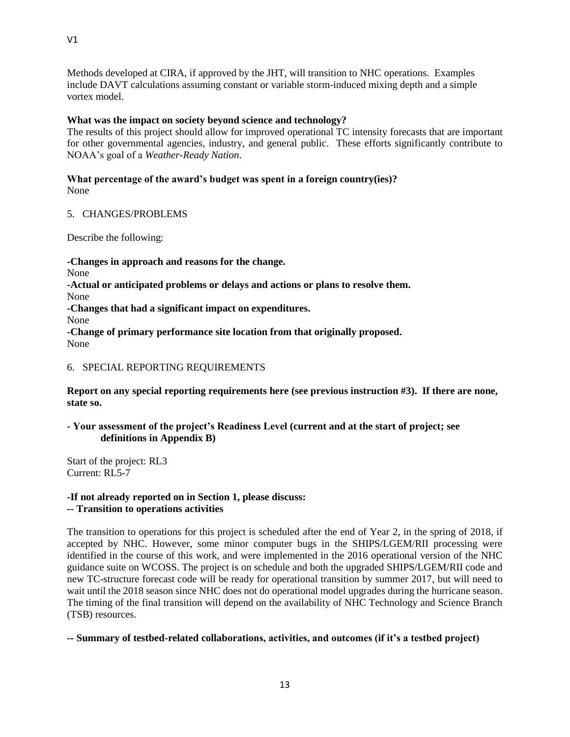Methods developed at CIRA, if approved by the JHT, will transition to NHC operations. Examples include DAVT calculations assuming constant or variable storm-induced mixing depth and a simple vortex model.

### **What was the impact on society beyond science and technology?**

The results of this project should allow for improved operational TC intensity forecasts that are important for other governmental agencies, industry, and general public. These efforts significantly contribute to NOAA's goal of a *Weather-Ready Nation*.

### **What percentage of the award's budget was spent in a foreign country(ies)?** None

## 5. CHANGES/PROBLEMS

Describe the following:

**-Changes in approach and reasons for the change.** None **-Actual or anticipated problems or delays and actions or plans to resolve them.** None **-Changes that had a significant impact on expenditures.** None **-Change of primary performance site location from that originally proposed.** None

## 6. SPECIAL REPORTING REQUIREMENTS

**Report on any special reporting requirements here (see previous instruction #3). If there are none, state so.**

## **- Your assessment of the project's Readiness Level (current and at the start of project; see definitions in Appendix B)**

Start of the project: RL3 Current: RL5-7

## **-If not already reported on in Section 1, please discuss: -- Transition to operations activities**

The transition to operations for this project is scheduled after the end of Year 2, in the spring of 2018, if accepted by NHC. However, some minor computer bugs in the SHIPS/LGEM/RII processing were identified in the course of this work, and were implemented in the 2016 operational version of the NHC guidance suite on WCOSS. The project is on schedule and both the upgraded SHIPS/LGEM/RII code and new TC-structure forecast code will be ready for operational transition by summer 2017, but will need to wait until the 2018 season since NHC does not do operational model upgrades during the hurricane season. The timing of the final transition will depend on the availability of NHC Technology and Science Branch (TSB) resources.

# **-- Summary of testbed-related collaborations, activities, and outcomes (if it's a testbed project)**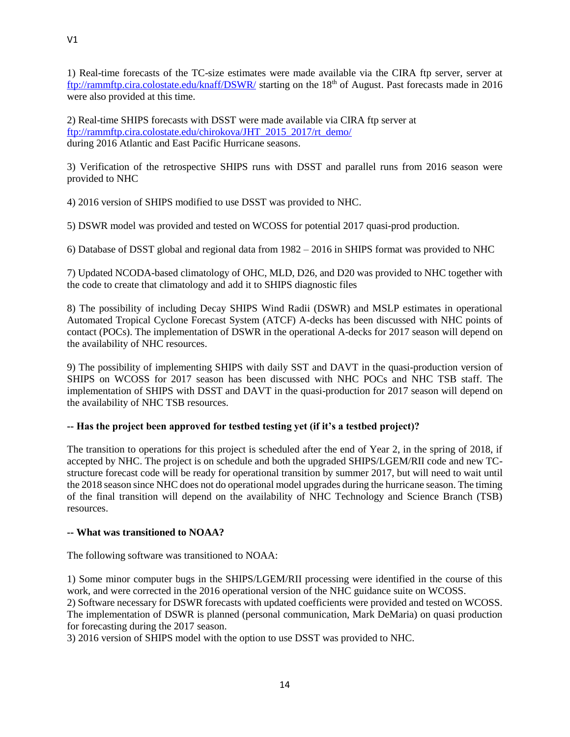1) Real-time forecasts of the TC-size estimates were made available via the CIRA ftp server, server at <ftp://rammftp.cira.colostate.edu/knaff/DSWR/> starting on the 18<sup>th</sup> of August. Past forecasts made in 2016 were also provided at this time.

2) Real-time SHIPS forecasts with DSST were made available via CIRA ftp server at [ftp://rammftp.cira.colostate.edu/chirokova/JHT\\_2015\\_2017/rt\\_demo/](ftp://rammftp.cira.colostate.edu/chirokova/JHT_2015_2017/rt_demo/) during 2016 Atlantic and East Pacific Hurricane seasons.

3) Verification of the retrospective SHIPS runs with DSST and parallel runs from 2016 season were provided to NHC

4) 2016 version of SHIPS modified to use DSST was provided to NHC.

5) DSWR model was provided and tested on WCOSS for potential 2017 quasi-prod production.

6) Database of DSST global and regional data from 1982 – 2016 in SHIPS format was provided to NHC

7) Updated NCODA-based climatology of OHC, MLD, D26, and D20 was provided to NHC together with the code to create that climatology and add it to SHIPS diagnostic files

8) The possibility of including Decay SHIPS Wind Radii (DSWR) and MSLP estimates in operational Automated Tropical Cyclone Forecast System (ATCF) A-decks has been discussed with NHC points of contact (POCs). The implementation of DSWR in the operational A-decks for 2017 season will depend on the availability of NHC resources.

9) The possibility of implementing SHIPS with daily SST and DAVT in the quasi-production version of SHIPS on WCOSS for 2017 season has been discussed with NHC POCs and NHC TSB staff. The implementation of SHIPS with DSST and DAVT in the quasi-production for 2017 season will depend on the availability of NHC TSB resources.

# **-- Has the project been approved for testbed testing yet (if it's a testbed project)?**

The transition to operations for this project is scheduled after the end of Year 2, in the spring of 2018, if accepted by NHC. The project is on schedule and both the upgraded SHIPS/LGEM/RII code and new TCstructure forecast code will be ready for operational transition by summer 2017, but will need to wait until the 2018 season since NHC does not do operational model upgrades during the hurricane season. The timing of the final transition will depend on the availability of NHC Technology and Science Branch (TSB) resources.

### **-- What was transitioned to NOAA?**

The following software was transitioned to NOAA:

1) Some minor computer bugs in the SHIPS/LGEM/RII processing were identified in the course of this work, and were corrected in the 2016 operational version of the NHC guidance suite on WCOSS.

2) Software necessary for DSWR forecasts with updated coefficients were provided and tested on WCOSS. The implementation of DSWR is planned (personal communication, Mark DeMaria) on quasi production for forecasting during the 2017 season.

3) 2016 version of SHIPS model with the option to use DSST was provided to NHC.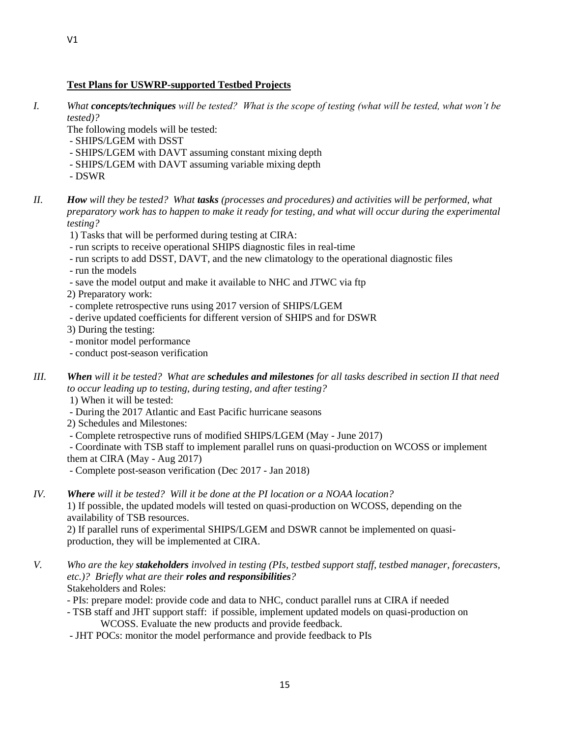## **Test Plans for USWRP-supported Testbed Projects**

*I. What concepts/techniques will be tested? What is the scope of testing (what will be tested, what won't be tested)?*

The following models will be tested:

- SHIPS/LGEM with DSST
- SHIPS/LGEM with DAVT assuming constant mixing depth
- SHIPS/LGEM with DAVT assuming variable mixing depth
- DSWR

*II. How will they be tested? What tasks (processes and procedures) and activities will be performed, what preparatory work has to happen to make it ready for testing, and what will occur during the experimental testing?*

- 1) Tasks that will be performed during testing at CIRA:
- run scripts to receive operational SHIPS diagnostic files in real-time
- run scripts to add DSST, DAVT, and the new climatology to the operational diagnostic files

- run the models

- save the model output and make it available to NHC and JTWC via ftp

2) Preparatory work:

- complete retrospective runs using 2017 version of SHIPS/LGEM
- derive updated coefficients for different version of SHIPS and for DSWR
- 3) During the testing:
- monitor model performance
- conduct post-season verification
- *III. When will it be tested? What are schedules and milestones for all tasks described in section II that need to occur leading up to testing, during testing, and after testing?* 
	- 1) When it will be tested:
	- During the 2017 Atlantic and East Pacific hurricane seasons
	- 2) Schedules and Milestones:
	- Complete retrospective runs of modified SHIPS/LGEM (May June 2017)

- Coordinate with TSB staff to implement parallel runs on quasi-production on WCOSS or implement them at CIRA (May - Aug 2017)

- Complete post-season verification (Dec 2017 - Jan 2018)

*IV. Where will it be tested? Will it be done at the PI location or a NOAA location?* 1) If possible, the updated models will tested on quasi-production on WCOSS, depending on the availability of TSB resources.

2) If parallel runs of experimental SHIPS/LGEM and DSWR cannot be implemented on quasiproduction, they will be implemented at CIRA.

- *V. Who are the key stakeholders involved in testing (PIs, testbed support staff, testbed manager, forecasters, etc.)? Briefly what are their roles and responsibilities?* Stakeholders and Roles:
	- PIs: prepare model: provide code and data to NHC, conduct parallel runs at CIRA if needed
	- TSB staff and JHT support staff: if possible, implement updated models on quasi-production on WCOSS. Evaluate the new products and provide feedback.
	- JHT POCs: monitor the model performance and provide feedback to PIs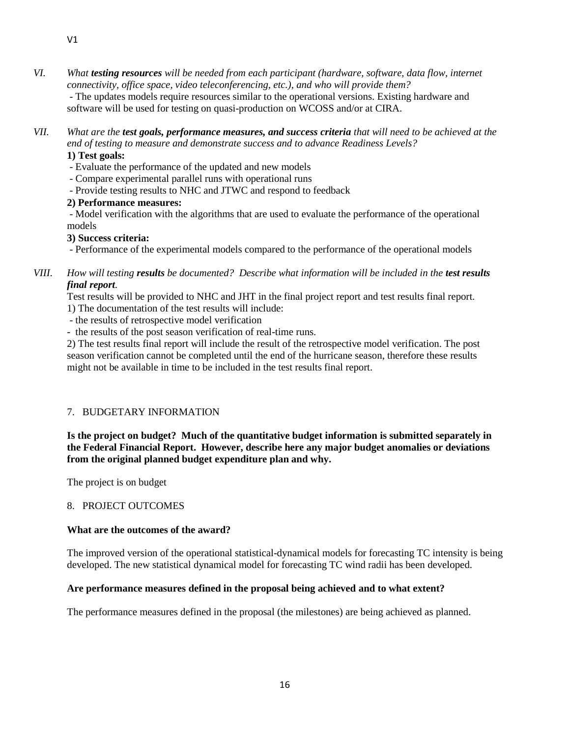- *VI. What testing resources will be needed from each participant (hardware, software, data flow, internet connectivity, office space, video teleconferencing, etc.), and who will provide them?*  - The updates models require resources similar to the operational versions. Existing hardware and software will be used for testing on quasi-production on WCOSS and/or at CIRA.
- *VII. What are the test goals, performance measures, and success criteria that will need to be achieved at the end of testing to measure and demonstrate success and to advance Readiness Levels?*

#### **1) Test goals:**

- Evaluate the performance of the updated and new models
- Compare experimental parallel runs with operational runs
- Provide testing results to NHC and JTWC and respond to feedback

#### **2) Performance measures:**

- Model verification with the algorithms that are used to evaluate the performance of the operational models

#### **3) Success criteria:**

- Performance of the experimental models compared to the performance of the operational models

*VIII. How will testing results be documented? Describe what information will be included in the test results final report.*

Test results will be provided to NHC and JHT in the final project report and test results final report.

1) The documentation of the test results will include:

- the results of retrospective model verification
- the results of the post season verification of real-time runs.

2) The test results final report will include the result of the retrospective model verification. The post season verification cannot be completed until the end of the hurricane season, therefore these results might not be available in time to be included in the test results final report.

### 7. BUDGETARY INFORMATION

**Is the project on budget? Much of the quantitative budget information is submitted separately in the Federal Financial Report. However, describe here any major budget anomalies or deviations from the original planned budget expenditure plan and why.**

The project is on budget

#### 8. PROJECT OUTCOMES

#### **What are the outcomes of the award?**

The improved version of the operational statistical-dynamical models for forecasting TC intensity is being developed. The new statistical dynamical model for forecasting TC wind radii has been developed.

#### **Are performance measures defined in the proposal being achieved and to what extent?**

The performance measures defined in the proposal (the milestones) are being achieved as planned.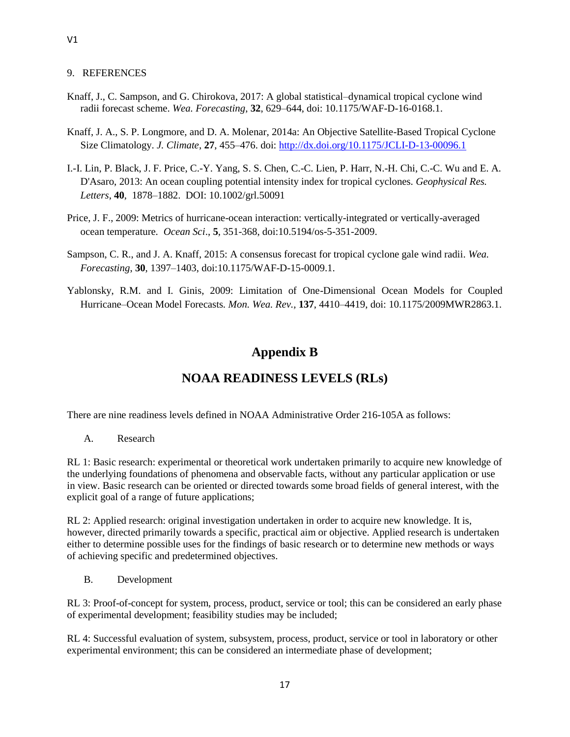#### 9. REFERENCES

- Knaff, J., C. Sampson, and G. Chirokova, 2017: A global statistical–dynamical tropical cyclone wind radii forecast scheme. *Wea. Forecasting*, **32**, 629–644, doi: 10.1175/WAF-D-16-0168.1.
- Knaff, J. A., S. P. Longmore, and D. A. Molenar, 2014a: An Objective Satellite-Based Tropical Cyclone Size Climatology. *J. Climate*, **27**, 455–476. doi[: http://dx.doi.org/10.1175/JCLI-D-13-00096.1](http://dx.doi.org/10.1175/JCLI-D-13-00096.1)
- I.-I. Lin, P. Black, J. F. Price, C.-Y. Yang, S. S. Chen, C.-C. Lien, P. Harr, N.-H. Chi, C.-C. Wu and E. A. D'Asaro, 2013: An ocean coupling potential intensity index for tropical cyclones. *Geophysical Res. Letters*, **40**, 1878–1882. DOI: 10.1002/grl.50091
- Price, J. F., 2009: Metrics of hurricane-ocean interaction: vertically-integrated or vertically-averaged ocean temperature*. Ocean Sci*., **5**, 351-368, doi:10.5194/os-5-351-2009.
- Sampson, C. R., and J. A. Knaff, 2015: A consensus forecast for tropical cyclone gale wind radii. *Wea. Forecasting*, **30**, 1397–1403, doi:10.1175/WAF-D-15-0009.1.
- Yablonsky, R.M. and I. Ginis, 2009: Limitation of One-Dimensional Ocean Models for Coupled Hurricane–Ocean Model Forecasts*. Mon. Wea. Rev.,* **137**, 4410–4419, doi: 10.1175/2009MWR2863.1.

# **Appendix B**

# **NOAA READINESS LEVELS (RLs)**

There are nine readiness levels defined in NOAA Administrative Order 216-105A as follows:

A. Research

RL 1: Basic research: experimental or theoretical work undertaken primarily to acquire new knowledge of the underlying foundations of phenomena and observable facts, without any particular application or use in view. Basic research can be oriented or directed towards some broad fields of general interest, with the explicit goal of a range of future applications;

RL 2: Applied research: original investigation undertaken in order to acquire new knowledge. It is, however, directed primarily towards a specific, practical aim or objective. Applied research is undertaken either to determine possible uses for the findings of basic research or to determine new methods or ways of achieving specific and predetermined objectives.

B. Development

RL 3: Proof-of-concept for system, process, product, service or tool; this can be considered an early phase of experimental development; feasibility studies may be included;

RL 4: Successful evaluation of system, subsystem, process, product, service or tool in laboratory or other experimental environment; this can be considered an intermediate phase of development;